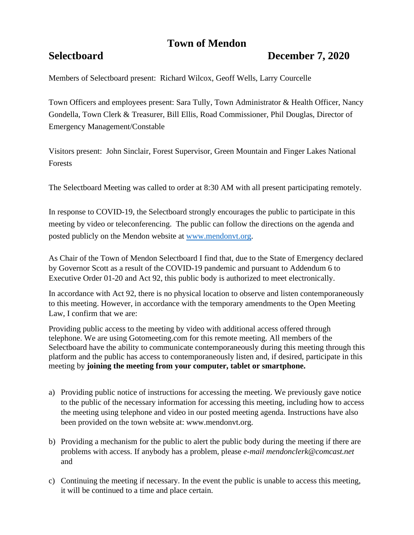# **Town of Mendon**

# **Selectboard December 7, 2020**

Members of Selectboard present: Richard Wilcox, Geoff Wells, Larry Courcelle

Town Officers and employees present: Sara Tully, Town Administrator & Health Officer, Nancy Gondella, Town Clerk & Treasurer, Bill Ellis, Road Commissioner, Phil Douglas, Director of Emergency Management/Constable

Visitors present: John Sinclair, Forest Supervisor, Green Mountain and Finger Lakes National Forests

The Selectboard Meeting was called to order at 8:30 AM with all present participating remotely.

In response to COVID-19, the Selectboard strongly encourages the public to participate in this meeting by video or teleconferencing. The public can follow the directions on the agenda and posted publicly on the Mendon website at [www.mendonvt.org.](http://www.mendonvt.org/)

As Chair of the Town of Mendon Selectboard I find that, due to the State of Emergency declared by Governor Scott as a result of the COVID-19 pandemic and pursuant to Addendum 6 to Executive Order 01-20 and Act 92, this public body is authorized to meet electronically.

In accordance with Act 92, there is no physical location to observe and listen contemporaneously to this meeting. However, in accordance with the temporary amendments to the Open Meeting Law, I confirm that we are:

Providing public access to the meeting by video with additional access offered through telephone. We are using Gotomeeting.com for this remote meeting. All members of the Selectboard have the ability to communicate contemporaneously during this meeting through this platform and the public has access to contemporaneously listen and, if desired, participate in this meeting by **joining the meeting from your computer, tablet or smartphone.** 

- a) Providing public notice of instructions for accessing the meeting. We previously gave notice to the public of the necessary information for accessing this meeting, including how to access the meeting using telephone and video in our posted meeting agenda. Instructions have also been provided on the town website at: www.mendonvt.org.
- b) Providing a mechanism for the public to alert the public body during the meeting if there are problems with access. If anybody has a problem, please *e-mail mendonclerk@comcast.net* and
- c) Continuing the meeting if necessary. In the event the public is unable to access this meeting, it will be continued to a time and place certain.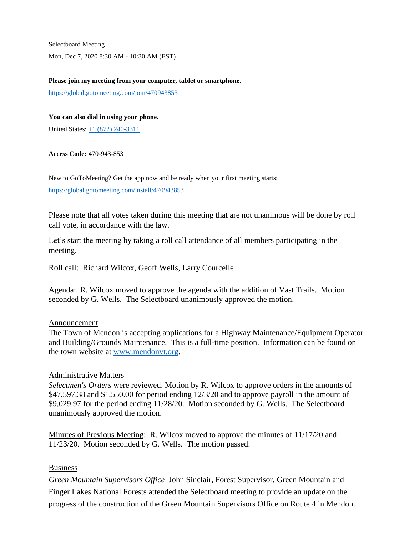Selectboard Meeting Mon, Dec 7, 2020 8:30 AM - 10:30 AM (EST)

#### **Please join my meeting from your computer, tablet or smartphone.**

<https://global.gotomeeting.com/join/470943853>

#### **You can also dial in using your phone.**

United States:  $\pm 1$  (872) 240-3311

#### **Access Code:** 470-943-853

New to GoToMeeting? Get the app now and be ready when your first meeting starts:

<https://global.gotomeeting.com/install/470943853>

Please note that all votes taken during this meeting that are not unanimous will be done by roll call vote, in accordance with the law.

Let's start the meeting by taking a roll call attendance of all members participating in the meeting.

Roll call: Richard Wilcox, Geoff Wells, Larry Courcelle

Agenda: R. Wilcox moved to approve the agenda with the addition of Vast Trails. Motion seconded by G. Wells. The Selectboard unanimously approved the motion.

## Announcement

The Town of Mendon is accepting applications for a Highway Maintenance/Equipment Operator and Building/Grounds Maintenance. This is a full-time position. Information can be found on the town website at [www.mendonvt.org.](http://www.mendonvt.org/)

### Administrative Matters

*Selectmen's Orders* were reviewed. Motion by R. Wilcox to approve orders in the amounts of \$47,597.38 and \$1,550.00 for period ending 12/3/20 and to approve payroll in the amount of \$9,029.97 for the period ending 11/28/20. Motion seconded by G. Wells. The Selectboard unanimously approved the motion.

Minutes of Previous Meeting: R. Wilcox moved to approve the minutes of 11/17/20 and 11/23/20. Motion seconded by G. Wells. The motion passed.

## Business

*Green Mountain Supervisors Office* John Sinclair, Forest Supervisor, Green Mountain and Finger Lakes National Forests attended the Selectboard meeting to provide an update on the progress of the construction of the Green Mountain Supervisors Office on Route 4 in Mendon.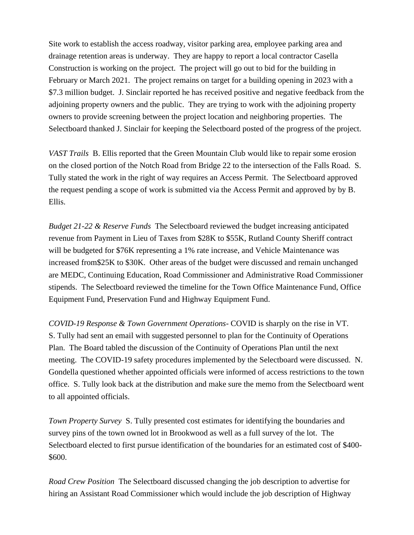Site work to establish the access roadway, visitor parking area, employee parking area and drainage retention areas is underway. They are happy to report a local contractor Casella Construction is working on the project. The project will go out to bid for the building in February or March 2021. The project remains on target for a building opening in 2023 with a \$7.3 million budget. J. Sinclair reported he has received positive and negative feedback from the adjoining property owners and the public. They are trying to work with the adjoining property owners to provide screening between the project location and neighboring properties. The Selectboard thanked J. Sinclair for keeping the Selectboard posted of the progress of the project.

*VAST Trails* B. Ellis reported that the Green Mountain Club would like to repair some erosion on the closed portion of the Notch Road from Bridge 22 to the intersection of the Falls Road. S. Tully stated the work in the right of way requires an Access Permit. The Selectboard approved the request pending a scope of work is submitted via the Access Permit and approved by by B. Ellis.

*Budget 21-22 & Reserve Funds* The Selectboard reviewed the budget increasing anticipated revenue from Payment in Lieu of Taxes from \$28K to \$55K, Rutland County Sheriff contract will be budgeted for \$76K representing a 1% rate increase, and Vehicle Maintenance was increased from\$25K to \$30K. Other areas of the budget were discussed and remain unchanged are MEDC, Continuing Education, Road Commissioner and Administrative Road Commissioner stipends. The Selectboard reviewed the timeline for the Town Office Maintenance Fund, Office Equipment Fund, Preservation Fund and Highway Equipment Fund.

*COVID-19 Response & Town Government Operations*- COVID is sharply on the rise in VT. S. Tully had sent an email with suggested personnel to plan for the Continuity of Operations Plan. The Board tabled the discussion of the Continuity of Operations Plan until the next meeting. The COVID-19 safety procedures implemented by the Selectboard were discussed. N. Gondella questioned whether appointed officials were informed of access restrictions to the town office. S. Tully look back at the distribution and make sure the memo from the Selectboard went to all appointed officials.

*Town Property Survey* S. Tully presented cost estimates for identifying the boundaries and survey pins of the town owned lot in Brookwood as well as a full survey of the lot. The Selectboard elected to first pursue identification of the boundaries for an estimated cost of \$400- \$600.

*Road Crew Position* The Selectboard discussed changing the job description to advertise for hiring an Assistant Road Commissioner which would include the job description of Highway